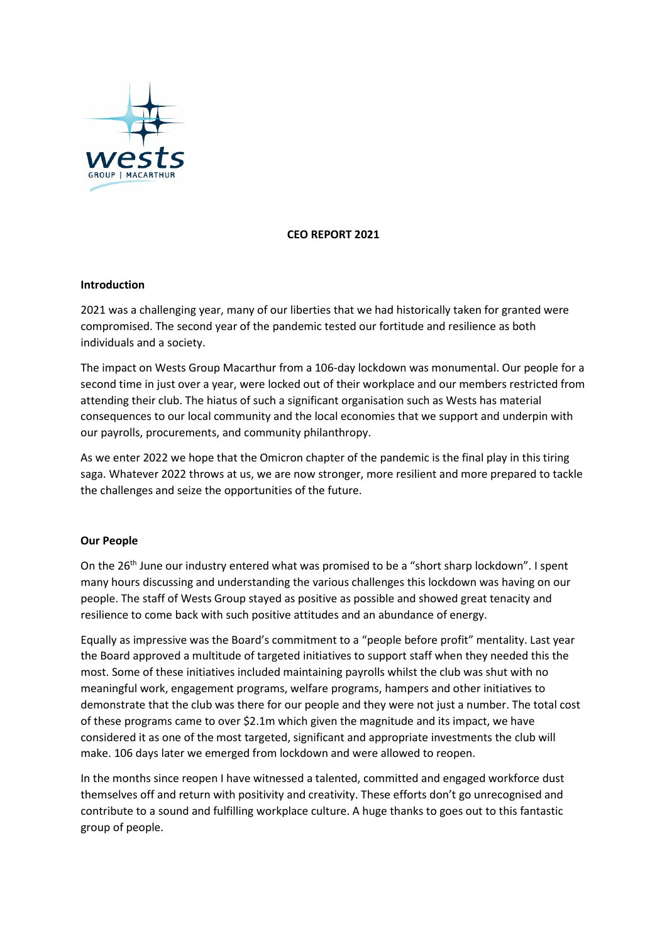

# **CEO REPORT 2021**

### **Introduction**

2021 was a challenging year, many of our liberties that we had historically taken for granted were compromised. The second year of the pandemic tested our fortitude and resilience as both individuals and a society.

The impact on Wests Group Macarthur from a 106-day lockdown was monumental. Our people for a second time in just over a year, were locked out of their workplace and our members restricted from attending their club. The hiatus of such a significant organisation such as Wests has material consequences to our local community and the local economies that we support and underpin with our payrolls, procurements, and community philanthropy.

As we enter 2022 we hope that the Omicron chapter of the pandemic is the final play in this tiring saga. Whatever 2022 throws at us, we are now stronger, more resilient and more prepared to tackle the challenges and seize the opportunities of the future.

# **Our People**

On the  $26<sup>th</sup>$  June our industry entered what was promised to be a "short sharp lockdown". I spent many hours discussing and understanding the various challenges this lockdown was having on our people. The staff of Wests Group stayed as positive as possible and showed great tenacity and resilience to come back with such positive attitudes and an abundance of energy.

Equally as impressive was the Board's commitment to a "people before profit" mentality. Last year the Board approved a multitude of targeted initiatives to support staff when they needed this the most. Some of these initiatives included maintaining payrolls whilst the club was shut with no meaningful work, engagement programs, welfare programs, hampers and other initiatives to demonstrate that the club was there for our people and they were not just a number. The total cost of these programs came to over \$2.1m which given the magnitude and its impact, we have considered it as one of the most targeted, significant and appropriate investments the club will make. 106 days later we emerged from lockdown and were allowed to reopen.

In the months since reopen I have witnessed a talented, committed and engaged workforce dust themselves off and return with positivity and creativity. These efforts don't go unrecognised and contribute to a sound and fulfilling workplace culture. A huge thanks to goes out to this fantastic group of people.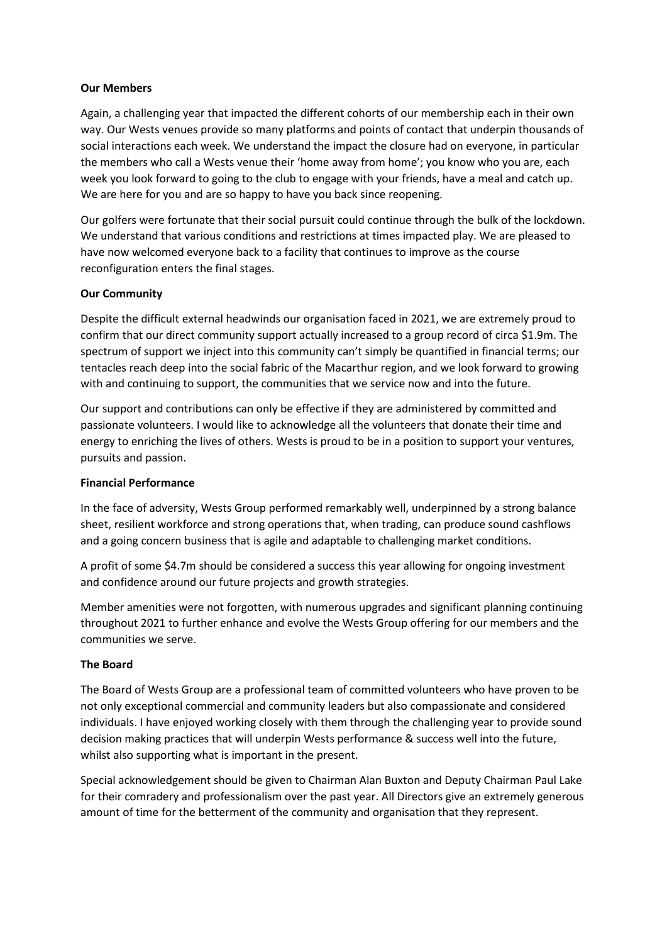# **Our Members**

Again, a challenging year that impacted the different cohorts of our membership each in their own way. Our Wests venues provide so many platforms and points of contact that underpin thousands of social interactions each week. We understand the impact the closure had on everyone, in particular the members who call a Wests venue their 'home away from home'; you know who you are, each week you look forward to going to the club to engage with your friends, have a meal and catch up. We are here for you and are so happy to have you back since reopening.

Our golfers were fortunate that their social pursuit could continue through the bulk of the lockdown. We understand that various conditions and restrictions at times impacted play. We are pleased to have now welcomed everyone back to a facility that continues to improve as the course reconfiguration enters the final stages.

# **Our Community**

Despite the difficult external headwinds our organisation faced in 2021, we are extremely proud to confirm that our direct community support actually increased to a group record of circa \$1.9m. The spectrum of support we inject into this community can't simply be quantified in financial terms; our tentacles reach deep into the social fabric of the Macarthur region, and we look forward to growing with and continuing to support, the communities that we service now and into the future.

Our support and contributions can only be effective if they are administered by committed and passionate volunteers. I would like to acknowledge all the volunteers that donate their time and energy to enriching the lives of others. Wests is proud to be in a position to support your ventures, pursuits and passion.

### **Financial Performance**

In the face of adversity, Wests Group performed remarkably well, underpinned by a strong balance sheet, resilient workforce and strong operations that, when trading, can produce sound cashflows and a going concern business that is agile and adaptable to challenging market conditions.

A profit of some \$4.7m should be considered a success this year allowing for ongoing investment and confidence around our future projects and growth strategies.

Member amenities were not forgotten, with numerous upgrades and significant planning continuing throughout 2021 to further enhance and evolve the Wests Group offering for our members and the communities we serve.

### **The Board**

The Board of Wests Group are a professional team of committed volunteers who have proven to be not only exceptional commercial and community leaders but also compassionate and considered individuals. I have enjoyed working closely with them through the challenging year to provide sound decision making practices that will underpin Wests performance & success well into the future, whilst also supporting what is important in the present.

Special acknowledgement should be given to Chairman Alan Buxton and Deputy Chairman Paul Lake for their comradery and professionalism over the past year. All Directors give an extremely generous amount of time for the betterment of the community and organisation that they represent.